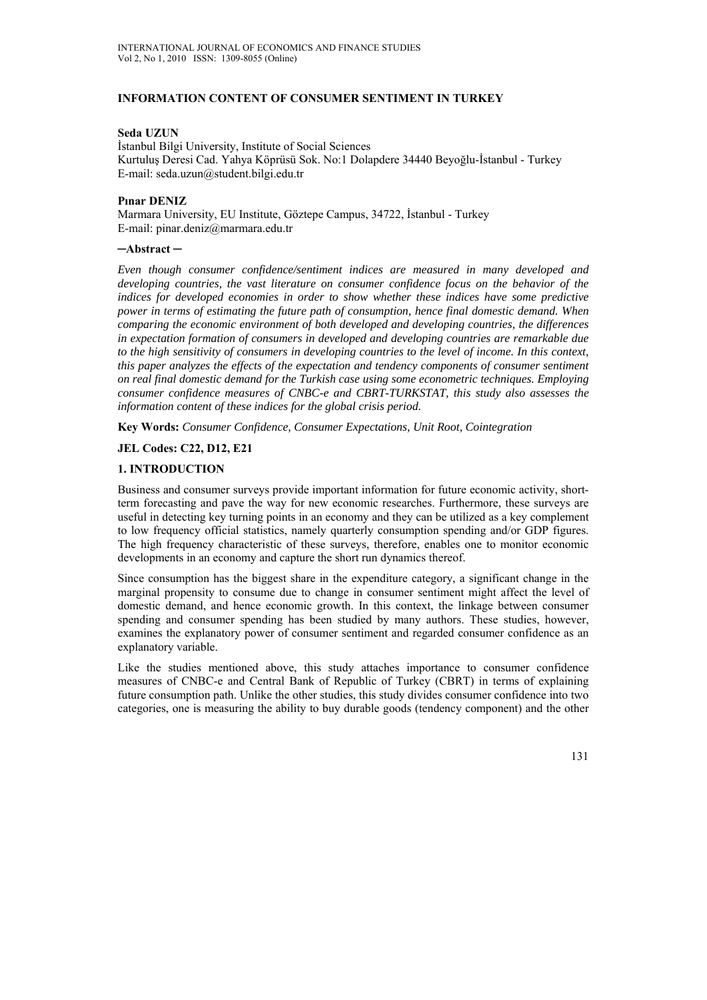# **INFORMATION CONTENT OF CONSUMER SENTIMENT IN TURKEY**

### **Seda UZUN**

İstanbul Bilgi University, Institute of Social Sciences Kurtuluş Deresi Cad. Yahya Köprüsü Sok. No:1 Dolapdere 34440 Beyoğlu-İstanbul - Turkey E-mail: seda.uzun@student.bilgi.edu.tr

### **Pınar DENIZ**

Marmara University, EU Institute, Göztepe Campus, 34722, İstanbul - Turkey E-mail: pinar.deniz@marmara.edu.tr

### **─Abstract ─**

*Even though consumer confidence/sentiment indices are measured in many developed and developing countries, the vast literature on consumer confidence focus on the behavior of the indices for developed economies in order to show whether these indices have some predictive power in terms of estimating the future path of consumption, hence final domestic demand. When comparing the economic environment of both developed and developing countries, the differences in expectation formation of consumers in developed and developing countries are remarkable due to the high sensitivity of consumers in developing countries to the level of income. In this context, this paper analyzes the effects of the expectation and tendency components of consumer sentiment on real final domestic demand for the Turkish case using some econometric techniques. Employing consumer confidence measures of CNBC-e and CBRT-TURKSTAT, this study also assesses the information content of these indices for the global crisis period.* 

**Key Words:** *Consumer Confidence, Consumer Expectations, Unit Root, Cointegration* 

### **JEL Codes: C22, D12, E21**

### **1. INTRODUCTION**

Business and consumer surveys provide important information for future economic activity, shortterm forecasting and pave the way for new economic researches. Furthermore, these surveys are useful in detecting key turning points in an economy and they can be utilized as a key complement to low frequency official statistics, namely quarterly consumption spending and/or GDP figures. The high frequency characteristic of these surveys, therefore, enables one to monitor economic developments in an economy and capture the short run dynamics thereof.

Since consumption has the biggest share in the expenditure category, a significant change in the marginal propensity to consume due to change in consumer sentiment might affect the level of domestic demand, and hence economic growth. In this context, the linkage between consumer spending and consumer spending has been studied by many authors. These studies, however, examines the explanatory power of consumer sentiment and regarded consumer confidence as an explanatory variable.

Like the studies mentioned above, this study attaches importance to consumer confidence measures of CNBC-e and Central Bank of Republic of Turkey (CBRT) in terms of explaining future consumption path. Unlike the other studies, this study divides consumer confidence into two categories, one is measuring the ability to buy durable goods (tendency component) and the other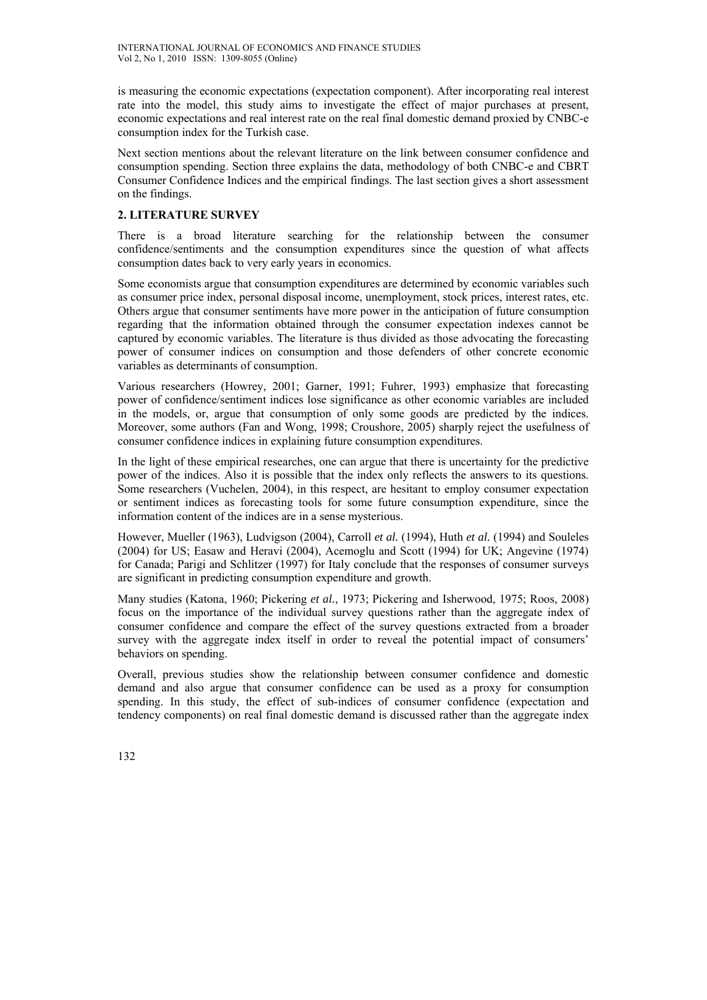is measuring the economic expectations (expectation component). After incorporating real interest rate into the model, this study aims to investigate the effect of major purchases at present, economic expectations and real interest rate on the real final domestic demand proxied by CNBC-e consumption index for the Turkish case.

Next section mentions about the relevant literature on the link between consumer confidence and consumption spending. Section three explains the data, methodology of both CNBC-e and CBRT Consumer Confidence Indices and the empirical findings. The last section gives a short assessment on the findings.

# **2. LITERATURE SURVEY**

There is a broad literature searching for the relationship between the consumer confidence/sentiments and the consumption expenditures since the question of what affects consumption dates back to very early years in economics.

Some economists argue that consumption expenditures are determined by economic variables such as consumer price index, personal disposal income, unemployment, stock prices, interest rates, etc. Others argue that consumer sentiments have more power in the anticipation of future consumption regarding that the information obtained through the consumer expectation indexes cannot be captured by economic variables. The literature is thus divided as those advocating the forecasting power of consumer indices on consumption and those defenders of other concrete economic variables as determinants of consumption.

Various researchers (Howrey, 2001; Garner, 1991; Fuhrer, 1993) emphasize that forecasting power of confidence/sentiment indices lose significance as other economic variables are included in the models, or, argue that consumption of only some goods are predicted by the indices. Moreover, some authors (Fan and Wong, 1998; Croushore, 2005) sharply reject the usefulness of consumer confidence indices in explaining future consumption expenditures.

In the light of these empirical researches, one can argue that there is uncertainty for the predictive power of the indices. Also it is possible that the index only reflects the answers to its questions. Some researchers (Vuchelen, 2004), in this respect, are hesitant to employ consumer expectation or sentiment indices as forecasting tools for some future consumption expenditure, since the information content of the indices are in a sense mysterious.

However, Mueller (1963), Ludvigson (2004), Carroll *et al.* (1994), Huth *et al.* (1994) and Souleles (2004) for US; Easaw and Heravi (2004), Acemoglu and Scott (1994) for UK; Angevine (1974) for Canada; Parigi and Schlitzer (1997) for Italy conclude that the responses of consumer surveys are significant in predicting consumption expenditure and growth.

Many studies (Katona, 1960; Pickering *et al.*, 1973; Pickering and Isherwood, 1975; Roos, 2008) focus on the importance of the individual survey questions rather than the aggregate index of consumer confidence and compare the effect of the survey questions extracted from a broader survey with the aggregate index itself in order to reveal the potential impact of consumers' behaviors on spending.

Overall, previous studies show the relationship between consumer confidence and domestic demand and also argue that consumer confidence can be used as a proxy for consumption spending. In this study, the effect of sub-indices of consumer confidence (expectation and tendency components) on real final domestic demand is discussed rather than the aggregate index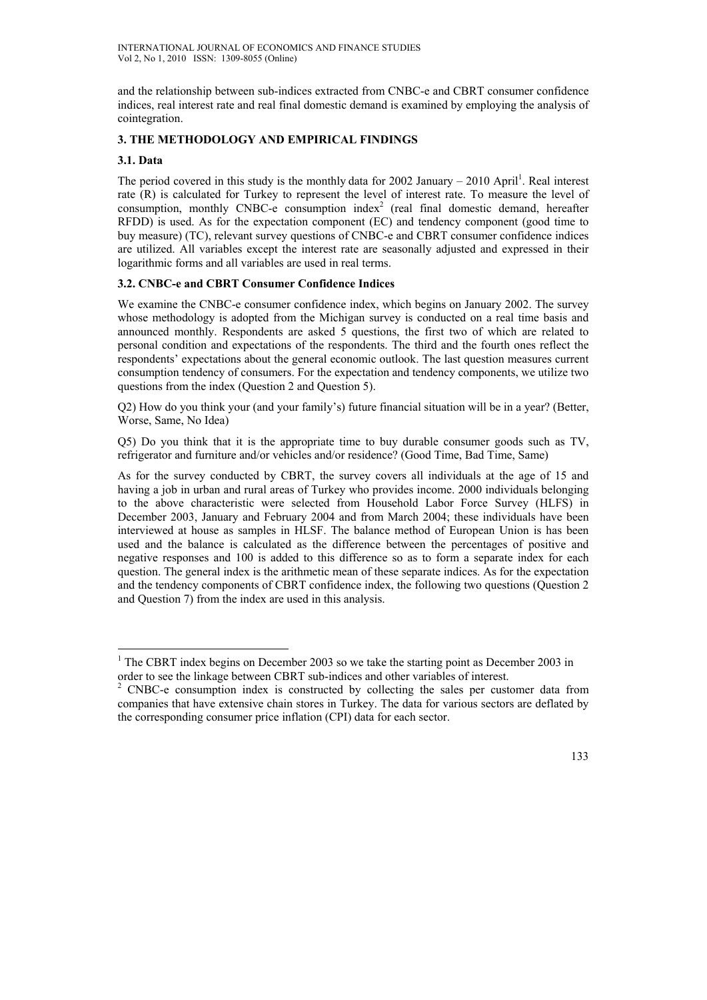and the relationship between sub-indices extracted from CNBC-e and CBRT consumer confidence indices, real interest rate and real final domestic demand is examined by employing the analysis of cointegration.

# **3. THE METHODOLOGY AND EMPIRICAL FINDINGS**

# **3.1. Data**

 $\overline{a}$ 

The period covered in this study is the monthly data for 2002 January  $-2010$  April<sup>1</sup>. Real interest rate (R) is calculated for Turkey to represent the level of interest rate. To measure the level of consumption, monthly CNBC-e consumption index<sup>2</sup> (real final domestic demand, hereafter RFDD) is used. As for the expectation component (EC) and tendency component (good time to buy measure) (TC), relevant survey questions of CNBC-e and CBRT consumer confidence indices are utilized. All variables except the interest rate are seasonally adjusted and expressed in their logarithmic forms and all variables are used in real terms.

# **3.2. CNBC-e and CBRT Consumer Confidence Indices**

We examine the CNBC-e consumer confidence index, which begins on January 2002. The survey whose methodology is adopted from the Michigan survey is conducted on a real time basis and announced monthly. Respondents are asked 5 questions, the first two of which are related to personal condition and expectations of the respondents. The third and the fourth ones reflect the respondents' expectations about the general economic outlook. The last question measures current consumption tendency of consumers. For the expectation and tendency components, we utilize two questions from the index (Question 2 and Question 5).

Q2) How do you think your (and your family's) future financial situation will be in a year? (Better, Worse, Same, No Idea)

Q5) Do you think that it is the appropriate time to buy durable consumer goods such as TV, refrigerator and furniture and/or vehicles and/or residence? (Good Time, Bad Time, Same)

As for the survey conducted by CBRT, the survey covers all individuals at the age of 15 and having a job in urban and rural areas of Turkey who provides income. 2000 individuals belonging to the above characteristic were selected from Household Labor Force Survey (HLFS) in December 2003, January and February 2004 and from March 2004; these individuals have been interviewed at house as samples in HLSF. The balance method of European Union is has been used and the balance is calculated as the difference between the percentages of positive and negative responses and 100 is added to this difference so as to form a separate index for each question. The general index is the arithmetic mean of these separate indices. As for the expectation and the tendency components of CBRT confidence index, the following two questions (Question 2 and Question 7) from the index are used in this analysis.

<sup>&</sup>lt;sup>1</sup> The CBRT index begins on December 2003 so we take the starting point as December 2003 in order to see the linkage between CBRT sub-indices and other variables of interest.<br><sup>2</sup> CNBC a consumption index is constructed by collecting the sales per eught

CNBC-e consumption index is constructed by collecting the sales per customer data from companies that have extensive chain stores in Turkey. The data for various sectors are deflated by the corresponding consumer price inflation (CPI) data for each sector.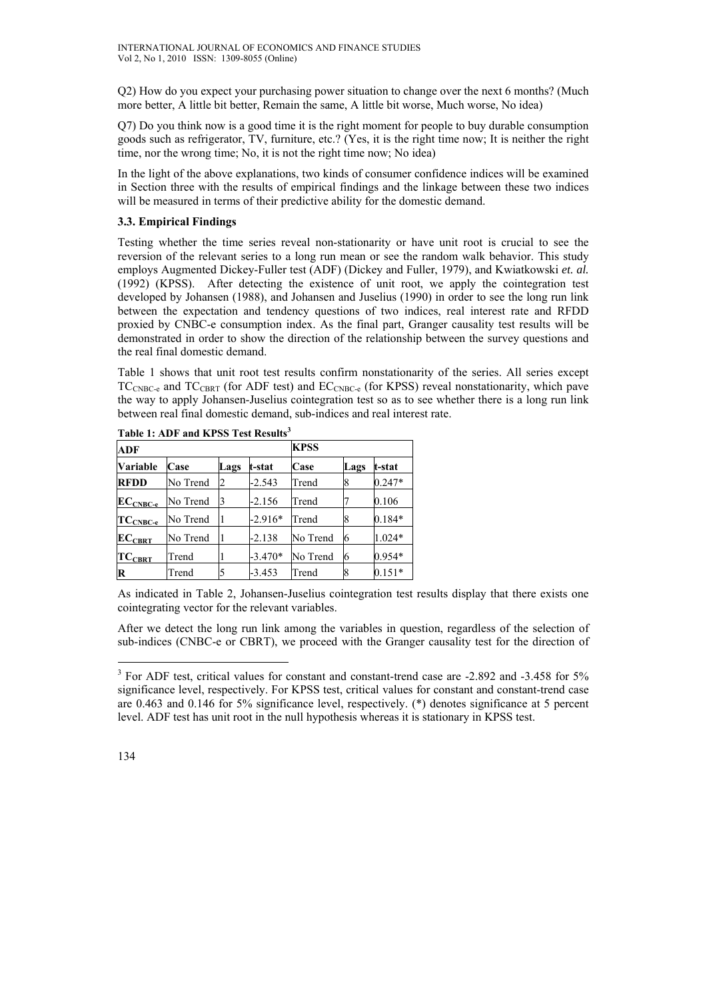Q2) How do you expect your purchasing power situation to change over the next 6 months? (Much more better, A little bit better, Remain the same, A little bit worse, Much worse, No idea)

Q7) Do you think now is a good time it is the right moment for people to buy durable consumption goods such as refrigerator, TV, furniture, etc.? (Yes, it is the right time now; It is neither the right time, nor the wrong time; No, it is not the right time now; No idea)

In the light of the above explanations, two kinds of consumer confidence indices will be examined in Section three with the results of empirical findings and the linkage between these two indices will be measured in terms of their predictive ability for the domestic demand.

# **3.3. Empirical Findings**

Testing whether the time series reveal non-stationarity or have unit root is crucial to see the reversion of the relevant series to a long run mean or see the random walk behavior. This study employs Augmented Dickey-Fuller test (ADF) (Dickey and Fuller, 1979), and Kwiatkowski *et. al.* (1992) (KPSS). After detecting the existence of unit root, we apply the cointegration test developed by Johansen (1988), and Johansen and Juselius (1990) in order to see the long run link between the expectation and tendency questions of two indices, real interest rate and RFDD proxied by CNBC-e consumption index. As the final part, Granger causality test results will be demonstrated in order to show the direction of the relationship between the survey questions and the real final domestic demand.

Table 1 shows that unit root test results confirm nonstationarity of the series. All series except  $TC_{CNBC-e}$  and  $TC_{CBRT}$  (for ADF test) and  $EC_{CNBC-e}$  (for KPSS) reveal nonstationarity, which pave the way to apply Johansen-Juselius cointegration test so as to see whether there is a long run link between real final domestic demand, sub-indices and real interest rate.

| <b>ADF</b>    |          |      |           | <b>KPSS</b> |      |          |  |
|---------------|----------|------|-----------|-------------|------|----------|--|
| Variable      | Case     | Lags | t-stat    | Case        | Lags | t-stat   |  |
| <b>RFDD</b>   | No Trend | 2    | $-2.543$  | Trend       | 8    | $0.247*$ |  |
| $ECCNEC-e$    | No Trend | 13   | $-2.156$  | Trend       |      | 0.106    |  |
| $TC_{CNEC-e}$ | No Trend |      | $-2.916*$ | Trend       |      | $0.184*$ |  |
| $EC_{CBRT}$   | No Trend |      | $-2.138$  | No Trend    | 6    | 1.024*   |  |
| $TC_{CBRT}$   | Trend    |      | $-3.470*$ | No Trend    | 6    | $0.954*$ |  |
| R             | Trend    |      | $-3.453$  | Trend       |      | $0.151*$ |  |

**Table 1: ADF and KPSS Test Results<sup>3</sup>**

As indicated in Table 2, Johansen-Juselius cointegration test results display that there exists one cointegrating vector for the relevant variables.

After we detect the long run link among the variables in question, regardless of the selection of sub-indices (CNBC-e or CBRT), we proceed with the Granger causality test for the direction of

 $\overline{a}$ 

<sup>&</sup>lt;sup>3</sup> For ADF test, critical values for constant and constant-trend case are -2.892 and -3.458 for 5% significance level, respectively. For KPSS test, critical values for constant and constant-trend case are 0.463 and 0.146 for 5% significance level, respectively. (\*) denotes significance at 5 percent level. ADF test has unit root in the null hypothesis whereas it is stationary in KPSS test.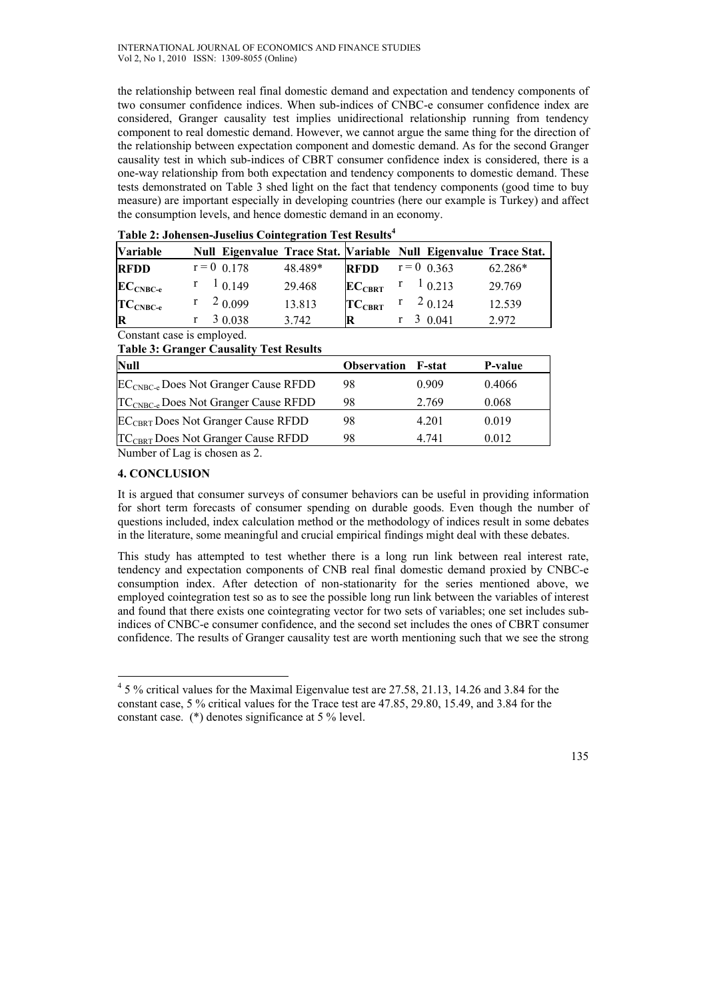the relationship between real final domestic demand and expectation and tendency components of two consumer confidence indices. When sub-indices of CNBC-e consumer confidence index are considered, Granger causality test implies unidirectional relationship running from tendency component to real domestic demand. However, we cannot argue the same thing for the direction of the relationship between expectation component and domestic demand. As for the second Granger causality test in which sub-indices of CBRT consumer confidence index is considered, there is a one-way relationship from both expectation and tendency components to domestic demand. These tests demonstrated on Table 3 shed light on the fact that tendency components (good time to buy measure) are important especially in developing countries (here our example is Turkey) and affect the consumption levels, and hence domestic demand in an economy.

| <b>Variable</b> | Table 2. conclisen-cusenus conflectation Test results |         |             |                     | Null Eigenvalue Trace Stat. Variable Null Eigenvalue Trace Stat. |
|-----------------|-------------------------------------------------------|---------|-------------|---------------------|------------------------------------------------------------------|
| <b>RFDD</b>     | $r = 0$ 0.178                                         | 48.489* | <b>RFDD</b> | $r = 0$ 0.363       | 62.286*                                                          |
| $ECCNEC-e$      | 10.149                                                | 29.468  | $EC_{CBRT}$ | $r \quad 1_{0.213}$ | 29.769                                                           |
| $TC_{CNECe}$    | 2 0.099                                               | 13.813  | $TC_{CBRT}$ | 20.124              | 12.539                                                           |
| $\mathbf R$     | 3 0.038                                               | 3.742   | R           | 30.041              | 2.972                                                            |

Constant case is employed. **Table 3: Granger Causality Test Results** 

| Tuble of Grunder Cumming Test Results            |                           |       |         |
|--------------------------------------------------|---------------------------|-------|---------|
| <b>Null</b>                                      | <b>Observation F-stat</b> |       | P-value |
| EC <sub>CNBC-e</sub> Does Not Granger Cause RFDD | 98                        | 0.909 | 0.4066  |
| TC <sub>CNBC-e</sub> Does Not Granger Cause RFDD | 98                        | 2.769 | 0.068   |
| <b>ECCBRT</b> Does Not Granger Cause RFDD        | 98                        | 4.201 | 0.019   |
| TC <sub>CBRT</sub> Does Not Granger Cause RFDD   | 98                        | 4 741 | 0.012   |

Number of Lag is chosen as 2.

## **4. CONCLUSION**

 $\overline{a}$ 

It is argued that consumer surveys of consumer behaviors can be useful in providing information for short term forecasts of consumer spending on durable goods. Even though the number of questions included, index calculation method or the methodology of indices result in some debates in the literature, some meaningful and crucial empirical findings might deal with these debates.

This study has attempted to test whether there is a long run link between real interest rate, tendency and expectation components of CNB real final domestic demand proxied by CNBC-e consumption index. After detection of non-stationarity for the series mentioned above, we employed cointegration test so as to see the possible long run link between the variables of interest and found that there exists one cointegrating vector for two sets of variables; one set includes subindices of CNBC-e consumer confidence, and the second set includes the ones of CBRT consumer confidence. The results of Granger causality test are worth mentioning such that we see the strong

<sup>&</sup>lt;sup>4</sup> 5 % critical values for the Maximal Eigenvalue test are 27.58, 21.13, 14.26 and 3.84 for the constant case, 5 % critical values for the Trace test are 47.85, 29.80, 15.49, and 3.84 for the constant case. (\*) denotes significance at 5 % level.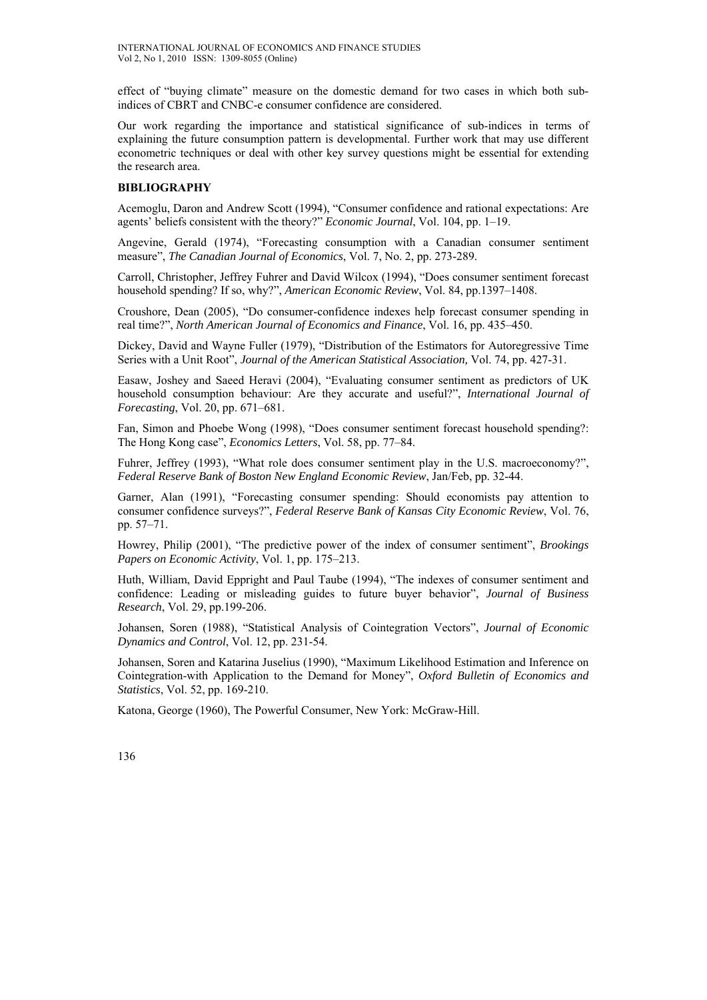effect of "buying climate" measure on the domestic demand for two cases in which both subindices of CBRT and CNBC-e consumer confidence are considered.

Our work regarding the importance and statistical significance of sub-indices in terms of explaining the future consumption pattern is developmental. Further work that may use different econometric techniques or deal with other key survey questions might be essential for extending the research area.

### **BIBLIOGRAPHY**

Acemoglu, Daron and Andrew Scott (1994), "Consumer confidence and rational expectations: Are agents' beliefs consistent with the theory?" *Economic Journal*, Vol. 104, pp. 1–19.

Angevine, Gerald (1974), "Forecasting consumption with a Canadian consumer sentiment measure", *The Canadian Journal of Economics*, Vol. 7, No. 2, pp. 273-289.

Carroll, Christopher, Jeffrey Fuhrer and David Wilcox (1994), "Does consumer sentiment forecast household spending? If so, why?", *American Economic Review*, Vol. 84, pp.1397–1408.

Croushore, Dean (2005), "Do consumer-confidence indexes help forecast consumer spending in real time?", *North American Journal of Economics and Finance*, Vol. 16, pp. 435–450.

Dickey, David and Wayne Fuller (1979), "Distribution of the Estimators for Autoregressive Time Series with a Unit Root", *Journal of the American Statistical Association,* Vol. 74, pp. 427-31.

Easaw, Joshey and Saeed Heravi (2004), "Evaluating consumer sentiment as predictors of UK household consumption behaviour: Are they accurate and useful?", *International Journal of Forecasting*, Vol. 20, pp. 671–681.

Fan, Simon and Phoebe Wong (1998), "Does consumer sentiment forecast household spending?: The Hong Kong case", *Economics Letters*, Vol. 58, pp. 77–84.

Fuhrer, Jeffrey (1993), "What role does consumer sentiment play in the U.S. macroeconomy?", *Federal Reserve Bank of Boston New England Economic Review*, Jan/Feb, pp. 32-44.

Garner, Alan (1991), "Forecasting consumer spending: Should economists pay attention to consumer confidence surveys?", *Federal Reserve Bank of Kansas City Economic Review*, Vol. 76, pp. 57–71.

Howrey, Philip (2001), "The predictive power of the index of consumer sentiment", *Brookings Papers on Economic Activity*, Vol. 1, pp. 175–213.

Huth, William, David Eppright and Paul Taube (1994), "The indexes of consumer sentiment and confidence: Leading or misleading guides to future buyer behavior", *Journal of Business Research*, Vol. 29, pp.199-206.

Johansen, Soren (1988), "Statistical Analysis of Cointegration Vectors", *Journal of Economic Dynamics and Control*, Vol. 12, pp. 231-54.

Johansen, Soren and Katarina Juselius (1990), "Maximum Likelihood Estimation and Inference on Cointegration-with Application to the Demand for Money", *Oxford Bulletin of Economics and Statistics*, Vol. 52, pp. 169-210.

Katona, George (1960), The Powerful Consumer, New York: McGraw-Hill.